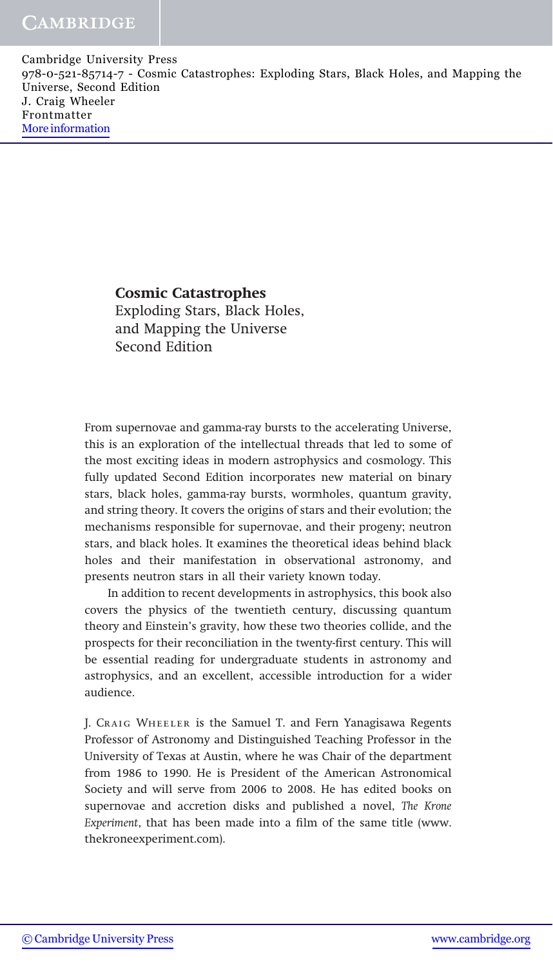> Cosmic Catastrophes Exploding Stars, Black Holes, and Mapping the Universe Second Edition

From supernovae and gamma-ray bursts to the accelerating Universe, this is an exploration of the intellectual threads that led to some of the most exciting ideas in modern astrophysics and cosmology.This fully updated Second Edition incorporates new material on binary stars, black holes, gamma-ray bursts, wormholes, quantum gravity, and string theory. It covers the origins of stars and their evolution; the mechanisms responsible for supernovae, and their progeny; neutron stars, and black holes.It examines the theoretical ideas behind black holes and their manifestation in observational astronomy, and presents neutron stars in all their variety known today.

In addition to recent developments in astrophysics, this book also covers the physics of the twentieth century, discussing quantum theory and Einstein's gravity, how these two theories collide, and the prospects for their reconciliation in the twenty-first century.This will be essential reading for undergraduate students in astronomy and astrophysics, and an excellent, accessible introduction for a wider audience.

J. CRAIG WHEELER is the Samuel T. and Fern Yanagisawa Regents Professor of Astronomy and Distinguished Teaching Professor in the University of Texas at Austin, where he was Chair of the department from 1986 to 1990. He is President of the American Astronomical Society and will serve from 2006 to 2008. He has edited books on supernovae and accretion disks and published a novel, The Krone Experiment, that has been made into a film of the same title (www. thekroneexperiment.com).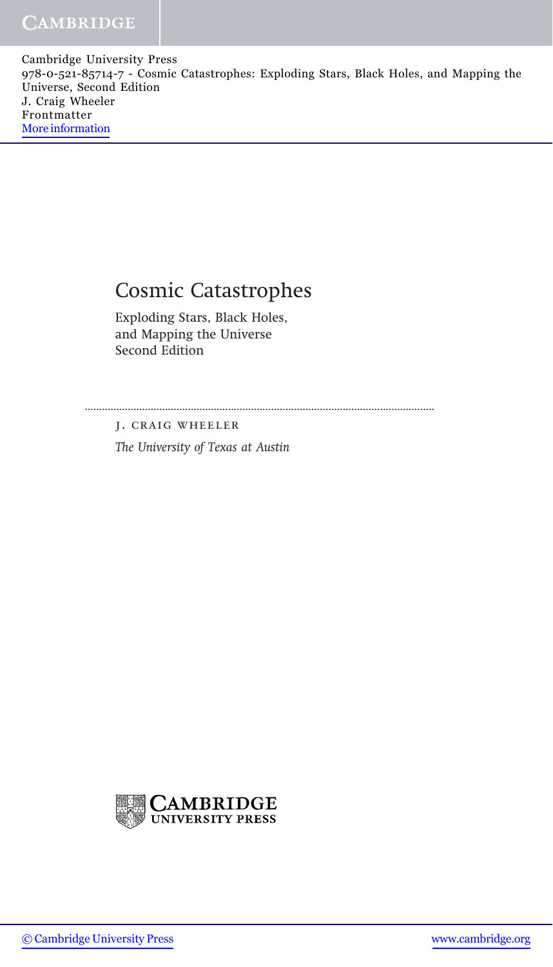# Cosmic Catastrophes

Exploding Stars, Black Holes, and Mapping the Universe Second Edition

..........................................................................................................................

j. craig wheeler

The University of Texas at Austin

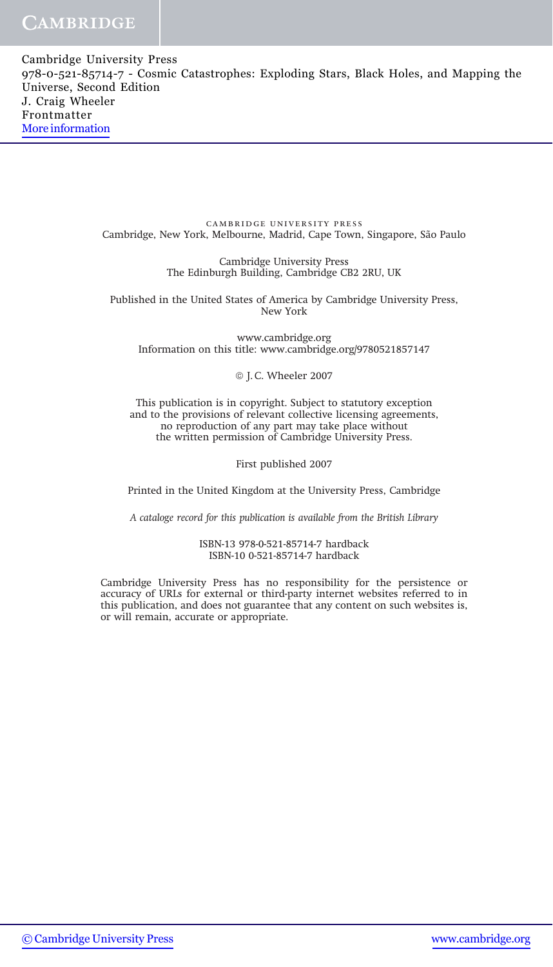| Cambridge University Press |  |                                                                                        |  |
|----------------------------|--|----------------------------------------------------------------------------------------|--|
|                            |  | 978-0-521-85714-7 - Cosmic Catastrophes: Exploding Stars, Black Holes, and Mapping the |  |
| Universe, Second Edition   |  |                                                                                        |  |
| J. Craig Wheeler           |  |                                                                                        |  |
| Frontmatter                |  |                                                                                        |  |
| More information           |  |                                                                                        |  |
|                            |  |                                                                                        |  |

cambridge university press Cambridge, New York, Melbourne, Madrid, Cape Town, Singapore, São Paulo

> Cambridge University Press The Edinburgh Building, Cambridge CB2 2RU, UK

Published in the United States of America by Cambridge University Press, New York

www.cambridge.org Information on this title: www.cambridge.org/9780521857147

#### ª J.C.Wheeler 2007

This publication is in copyright. Subject to statutory exception and to the provisions of relevant collective licensing agreements, no reproduction of any part may take place without the written permission of Cambridge University Press.

#### First published 2007

Printed in the United Kingdom at the University Press, Cambridge

A cataloge record for this publication is available from the British Library

ISBN-13 978-0-521-85714-7 hardback ISBN-10 0-521-85714-7 hardback

Cambridge University Press has no responsibility for the persistence or accuracy of URLs for external or third-party internet websites referred to in this publication, and does not guarantee that any content on such websites is, or will remain, accurate or appropriate.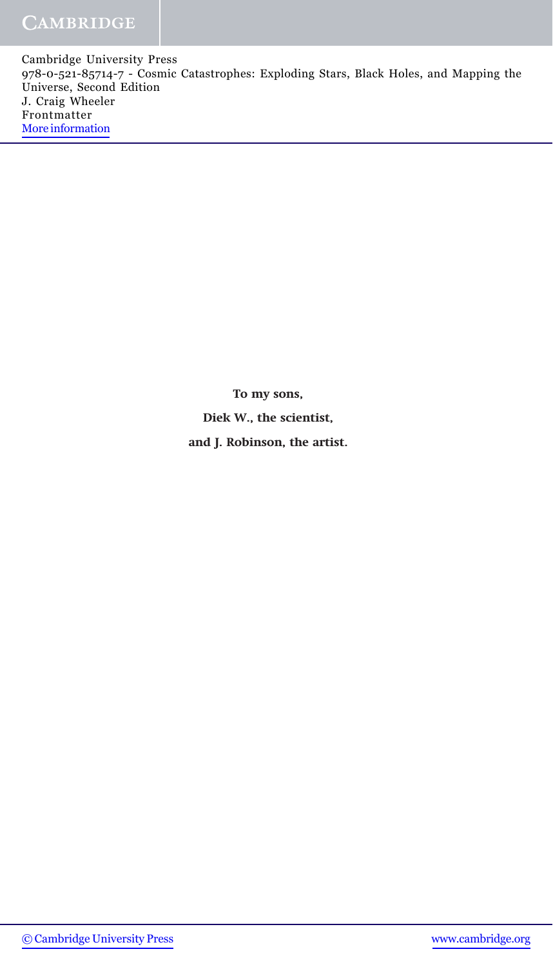To my sons,

Diek W., the scientist,

and J. Robinson, the artist.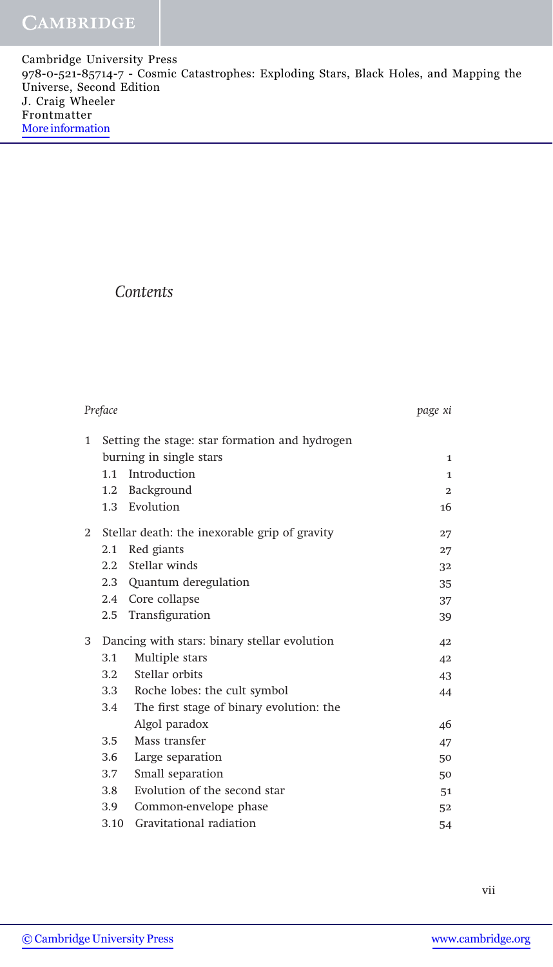| Cambridge University Press                                                             |  |
|----------------------------------------------------------------------------------------|--|
| 978-0-521-85714-7 - Cosmic Catastrophes: Exploding Stars, Black Holes, and Mapping the |  |
| Universe, Second Edition                                                               |  |
| J. Craig Wheeler                                                                       |  |
| Frontmatter                                                                            |  |
| More information                                                                       |  |
|                                                                                        |  |

## Contents

|              | Preface |                                                | page xi      |
|--------------|---------|------------------------------------------------|--------------|
| $\mathbf{1}$ |         | Setting the stage: star formation and hydrogen |              |
|              |         | burning in single stars                        | $\mathbf{1}$ |
|              | 1.1     | Introduction                                   | $\mathbf{1}$ |
|              | 1.2     | Background                                     | $\mathbf{2}$ |
|              |         | 1.3 Evolution                                  | 16           |
| $\mathbf{2}$ |         | Stellar death: the inexorable grip of gravity  | 27           |
|              | 2.1     | Red giants                                     | 27           |
|              | 2.2     | Stellar winds                                  | 32           |
|              |         | 2.3 Quantum deregulation                       | 35           |
|              | 2.4     | Core collapse                                  | 37           |
|              | 2.5     | Transfiguration                                | 39           |
| 3            |         | Dancing with stars: binary stellar evolution   | 42           |
|              | 3.1     | Multiple stars                                 | 42           |
|              | 3.2     | Stellar orbits                                 | 43           |
|              | 3.3     | Roche lobes: the cult symbol                   | 44           |
|              | 3.4     | The first stage of binary evolution: the       |              |
|              |         | Algol paradox                                  | 46           |
|              | 3.5     | Mass transfer                                  | 47           |
|              | 3.6     | Large separation                               | 50           |
|              | 3.7     | Small separation                               | 50           |
|              | 3.8     | Evolution of the second star                   | 51           |
|              | 3.9     | Common-envelope phase                          | 52           |
|              | 3.10    | Gravitational radiation                        | 54           |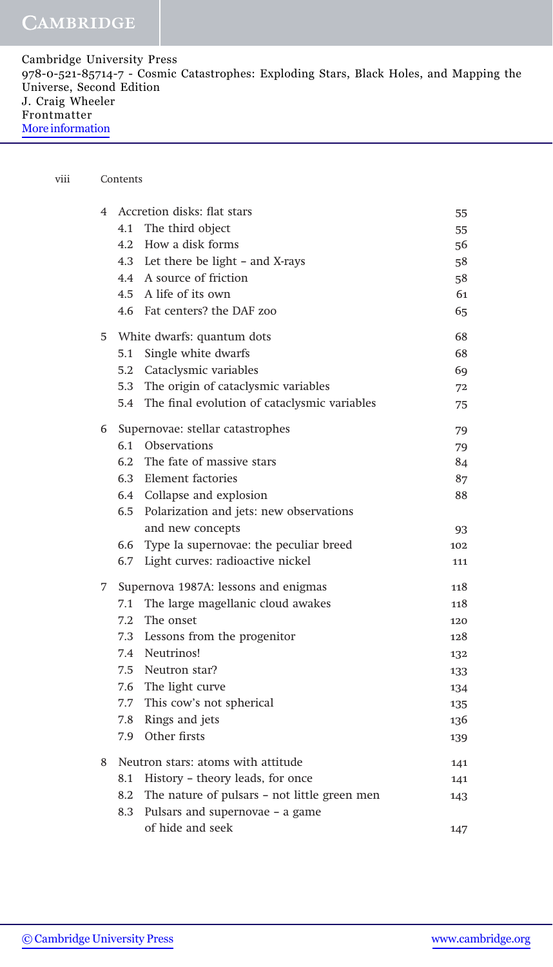| Cambridge University Press                                                             |  |  |
|----------------------------------------------------------------------------------------|--|--|
| 978-0-521-85714-7 - Cosmic Catastrophes: Exploding Stars, Black Holes, and Mapping the |  |  |
| Universe, Second Edition                                                               |  |  |
| J. Craig Wheeler                                                                       |  |  |
| Frontmatter                                                                            |  |  |
| More information                                                                       |  |  |
|                                                                                        |  |  |

### viii Contents

| 4 |     | Accretion disks: flat stars                                     | 55  |
|---|-----|-----------------------------------------------------------------|-----|
|   |     | 4.1 The third object                                            | 55  |
|   | 4.2 | How a disk forms                                                | 56  |
|   |     | 4.3 Let there be light - and X-rays<br>4.4 A source of friction | 58  |
|   | 4.5 | A life of its own                                               | 58  |
|   |     | 4.6 Fat centers? the DAF zoo                                    | 61  |
|   |     |                                                                 | 65  |
| 5 |     | White dwarfs: quantum dots                                      | 68  |
|   | 5.1 | Single white dwarfs                                             | 68  |
|   |     | 5.2 Cataclysmic variables                                       | 69  |
|   | 5.3 | The origin of cataclysmic variables                             | 72  |
|   | 5.4 | The final evolution of cataclysmic variables                    | 75  |
| 6 |     | Supernovae: stellar catastrophes                                | 79  |
|   |     | 6.1 Observations                                                | 79  |
|   | 6.2 | The fate of massive stars                                       | 84  |
|   |     | 6.3 Element factories                                           | 87  |
|   | 6.4 | Collapse and explosion                                          | 88  |
|   | 6.5 | Polarization and jets: new observations                         |     |
|   |     | and new concepts                                                | 93  |
|   | 6.6 | Type Ia supernovae: the peculiar breed                          | 102 |
|   | 6.7 | Light curves: radioactive nickel                                | 111 |
| 7 |     | Supernova 1987A: lessons and enigmas                            | 118 |
|   | 7.1 | The large magellanic cloud awakes                               | 118 |
|   | 7.2 | The onset                                                       | 120 |
|   | 7.3 | Lessons from the progenitor                                     | 128 |
|   | 7.4 | Neutrinos!                                                      | 132 |
|   | 7.5 | Neutron star?                                                   | 133 |
|   | 7.6 | The light curve                                                 | 134 |
|   | 7.7 | This cow's not spherical                                        | 135 |
|   | 7.8 | Rings and jets                                                  | 136 |
|   | 7.9 | Other firsts                                                    | 139 |
| 8 |     | Neutron stars: atoms with attitude                              | 141 |
|   | 8.1 | History - theory leads, for once                                | 141 |
|   | 8.2 | The nature of pulsars - not little green men                    | 143 |
|   | 8.3 | Pulsars and supernovae - a game                                 |     |
|   |     | of hide and seek                                                | 147 |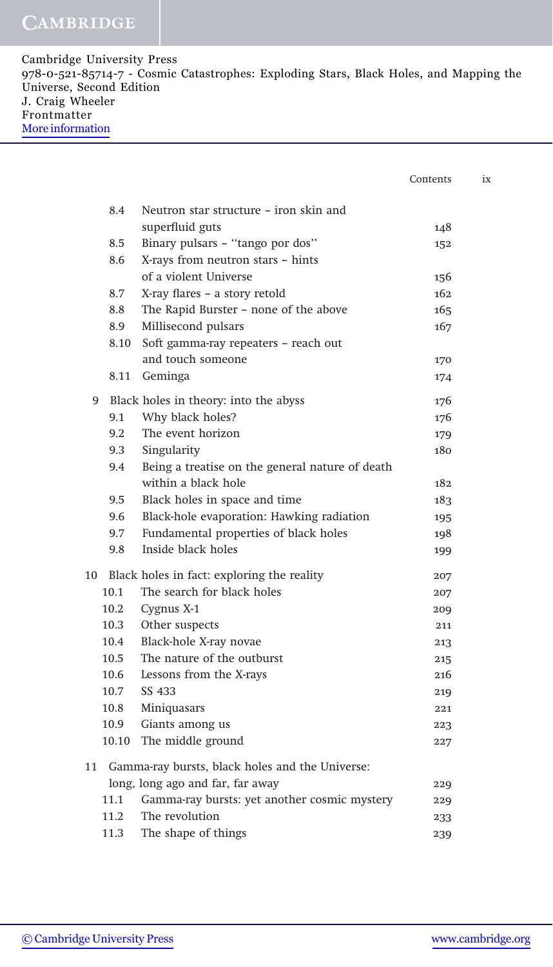|       |                                                 | Contents |
|-------|-------------------------------------------------|----------|
|       |                                                 |          |
| 8.4   | Neutron star structure – iron skin and          |          |
|       | superfluid guts                                 | 148      |
| 8.5   | Binary pulsars - "tango por dos"                | 152      |
| 8.6   | X-rays from neutron stars - hints               |          |
|       | of a violent Universe                           | 156      |
| 8.7   | X-ray flares - a story retold                   | 162      |
| 8.8   | The Rapid Burster - none of the above           | 165      |
| 8.9   | Millisecond pulsars                             | 167      |
| 8.10  | Soft gamma-ray repeaters - reach out            |          |
|       | and touch someone                               | 170      |
|       | 8.11 Geminga                                    | 174      |
| 9     | Black holes in theory: into the abyss           | 176      |
| 9.1   | Why black holes?                                | 176      |
| 9.2   | The event horizon                               | 179      |
| 9.3   | Singularity                                     | 180      |
| 9.4   | Being a treatise on the general nature of death |          |
|       | within a black hole                             | 182      |
| 9.5   | Black holes in space and time                   | 183      |
| 9.6   | Black-hole evaporation: Hawking radiation       | 195      |
| 9.7   | Fundamental properties of black holes           | 198      |
| 9.8   | Inside black holes                              | 199      |
| 10    | Black holes in fact: exploring the reality      | 207      |
| 10.1  | The search for black holes                      | 207      |
| 10.2  | Cygnus X-1                                      | 209      |
| 10.3  | Other suspects                                  | 211      |
| 10.4  | Black-hole X-ray novae                          | 213      |
| 10.5  | The nature of the outburst                      | 215      |
| 10.6  | Lessons from the X-rays                         | 216      |
| 10.7  | SS 433                                          | 219      |
| 10.8  | Miniquasars                                     | 221      |
| 10.9  | Giants among us                                 | 223      |
| 10.10 | The middle ground                               | 227      |
| 11    | Gamma-ray bursts, black holes and the Universe: |          |
|       | long, long ago and far, far away                | 229      |
| 11.1  | Gamma-ray bursts: yet another cosmic mystery    | 229      |
| 11.2  | The revolution                                  | 233      |
| 11.3  | The shape of things                             |          |
|       |                                                 | 239      |

 $i\mathbf{x}$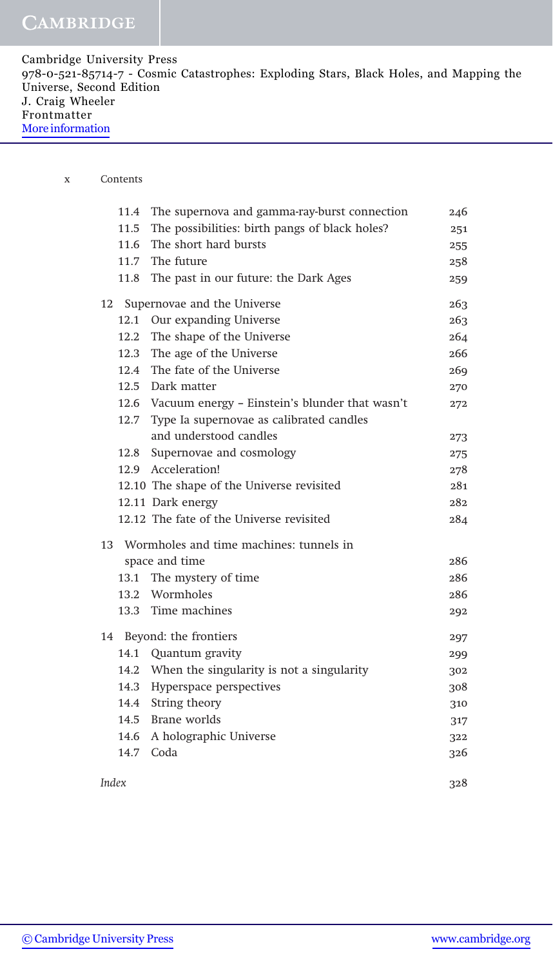| Cambridge University Press                                                             |  |
|----------------------------------------------------------------------------------------|--|
| 978-0-521-85714-7 - Cosmic Catastrophes: Exploding Stars, Black Holes, and Mapping the |  |
| Universe, Second Edition                                                               |  |
| J. Craig Wheeler                                                                       |  |
| Frontmatter                                                                            |  |
| More information                                                                       |  |

|       | 11.4 | The supernova and gamma-ray-burst connection        | 246 |
|-------|------|-----------------------------------------------------|-----|
|       | 11.5 | The possibilities: birth pangs of black holes?      | 251 |
|       | 11.6 | The short hard bursts                               | 255 |
|       | 11.7 | The future                                          | 258 |
|       | 11.8 | The past in our future: the Dark Ages               | 259 |
| 12    |      | Supernovae and the Universe                         | 263 |
|       | 12.1 | Our expanding Universe                              | 263 |
|       | 12.2 | The shape of the Universe                           | 264 |
|       | 12.3 | The age of the Universe                             | 266 |
|       | 12.4 | The fate of the Universe                            | 269 |
|       | 12.5 | Dark matter                                         | 270 |
|       |      | 12.6 Vacuum energy - Einstein's blunder that wasn't | 272 |
|       | 12.7 | Type Ia supernovae as calibrated candles            |     |
|       |      | and understood candles                              | 273 |
|       | 12.8 | Supernovae and cosmology                            | 275 |
|       |      | 12.9 Acceleration!                                  | 278 |
|       |      | 12.10 The shape of the Universe revisited           | 281 |
|       |      | 12.11 Dark energy                                   | 282 |
|       |      | 12.12 The fate of the Universe revisited            | 284 |
|       |      | 13 Wormholes and time machines: tunnels in          |     |
|       |      | space and time                                      | 286 |
|       |      | 13.1 The mystery of time                            | 286 |
|       |      | 13.2 Wormholes                                      | 286 |
|       |      | 13.3 Time machines                                  | 292 |
|       |      | 14 Beyond: the frontiers                            | 297 |
|       | 14.1 | Quantum gravity                                     | 299 |
|       | 14.2 | When the singularity is not a singularity           | 302 |
|       | 14.3 | Hyperspace perspectives                             | 308 |
|       |      | 14.4 String theory                                  | 310 |
|       | 14.5 | Brane worlds                                        | 317 |
|       | 14.6 | A holographic Universe                              | 322 |
|       | 14.7 | Coda                                                | 326 |
| Index |      |                                                     | 328 |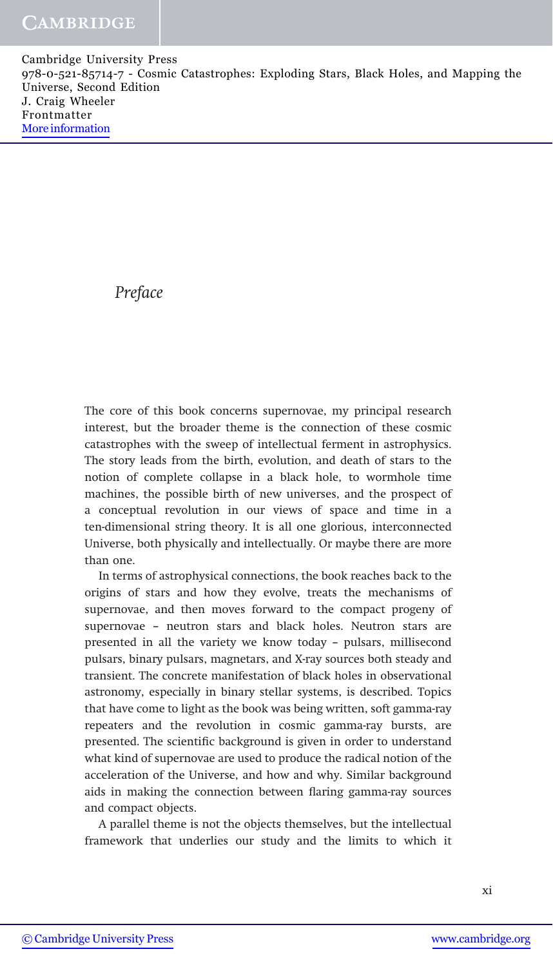Preface

The core of this book concerns supernovae, my principal research interest, but the broader theme is the connection of these cosmic catastrophes with the sweep of intellectual ferment in astrophysics. The story leads from the birth, evolution, and death of stars to the notion of complete collapse in a black hole, to wormhole time machines, the possible birth of new universes, and the prospect of a conceptual revolution in our views of space and time in a ten-dimensional string theory.It is all one glorious, interconnected Universe, both physically and intellectually.Or maybe there are more than one.

In terms of astrophysical connections, the book reaches back to the origins of stars and how they evolve, treats the mechanisms of supernovae, and then moves forward to the compact progeny of supernovae - neutron stars and black holes. Neutron stars are presented in all the variety we know today – pulsars, millisecond pulsars, binary pulsars, magnetars, and X-ray sources both steady and transient.The concrete manifestation of black holes in observational astronomy, especially in binary stellar systems, is described. Topics that have come to light as the book was being written, soft gamma-ray repeaters and the revolution in cosmic gamma-ray bursts, are presented.The scientific background is given in order to understand what kind of supernovae are used to produce the radical notion of the acceleration of the Universe, and how and why. Similar background aids in making the connection between flaring gamma-ray sources and compact objects.

A parallel theme is not the objects themselves, but the intellectual framework that underlies our study and the limits to which it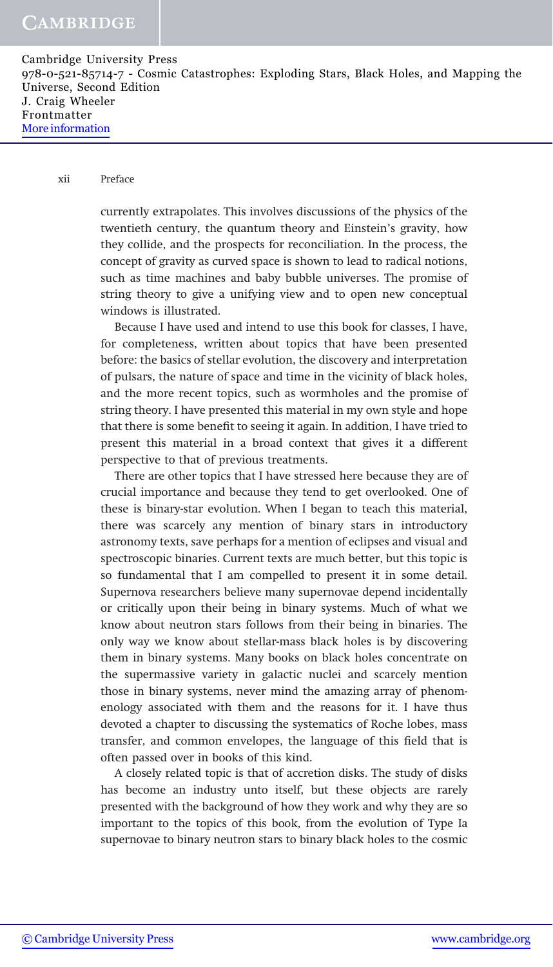#### xii Preface

currently extrapolates.This involves discussions of the physics of the twentieth century, the quantum theory and Einstein's gravity, how they collide, and the prospects for reconciliation. In the process, the concept of gravity as curved space is shown to lead to radical notions, such as time machines and baby bubble universes.The promise of string theory to give a unifying view and to open new conceptual windows is illustrated.

Because I have used and intend to use this book for classes, I have, for completeness, written about topics that have been presented before: the basics of stellar evolution, the discovery and interpretation of pulsars, the nature of space and time in the vicinity of black holes, and the more recent topics, such as wormholes and the promise of string theory.I have presented this material in my own style and hope that there is some benefit to seeing it again. In addition, I have tried to present this material in a broad context that gives it a different perspective to that of previous treatments.

There are other topics that I have stressed here because they are of crucial importance and because they tend to get overlooked. One of these is binary-star evolution.When I began to teach this material, there was scarcely any mention of binary stars in introductory astronomy texts, save perhaps for a mention of eclipses and visual and spectroscopic binaries. Current texts are much better, but this topic is so fundamental that I am compelled to present it in some detail. Supernova researchers believe many supernovae depend incidentally or critically upon their being in binary systems. Much of what we know about neutron stars follows from their being in binaries.The only way we know about stellar-mass black holes is by discovering them in binary systems. Many books on black holes concentrate on the supermassive variety in galactic nuclei and scarcely mention those in binary systems, never mind the amazing array of phenomenology associated with them and the reasons for it.I have thus devoted a chapter to discussing the systematics of Roche lobes, mass transfer, and common envelopes, the language of this field that is often passed over in books of this kind.

A closely related topic is that of accretion disks.The study of disks has become an industry unto itself, but these objects are rarely presented with the background of how they work and why they are so important to the topics of this book, from the evolution of Type Ia supernovae to binary neutron stars to binary black holes to the cosmic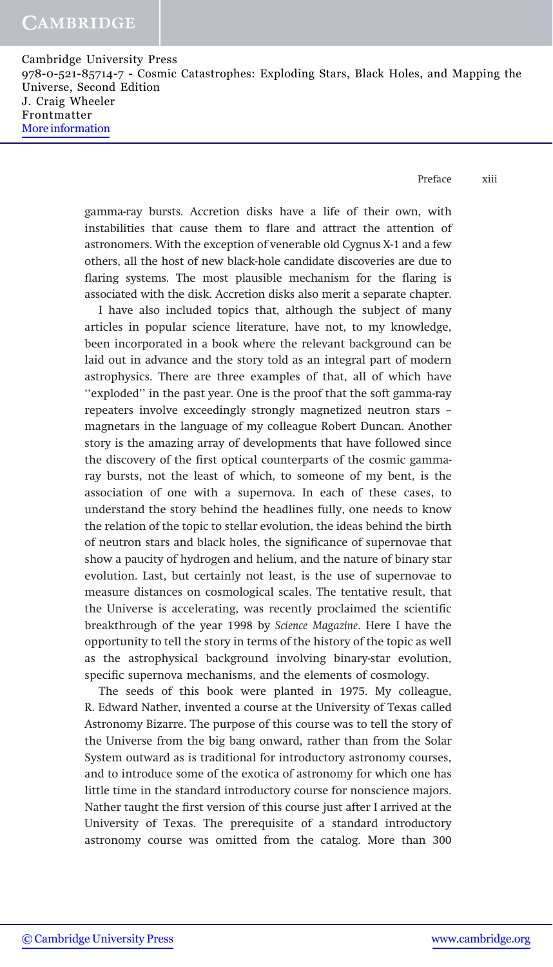Preface xiii

gamma-ray bursts. Accretion disks have a life of their own, with instabilities that cause them to flare and attract the attention of astronomers.With the exception of venerable old Cygnus X-1 and a few others, all the host of new black-hole candidate discoveries are due to flaring systems. The most plausible mechanism for the flaring is associated with the disk. Accretion disks also merit a separate chapter.

I have also included topics that, although the subject of many articles in popular science literature, have not, to my knowledge, been incorporated in a book where the relevant background can be laid out in advance and the story told as an integral part of modern astrophysics.There are three examples of that, all of which have "exploded" in the past year. One is the proof that the soft gamma-ray repeaters involve exceedingly strongly magnetized neutron stars – magnetars in the language of my colleague Robert Duncan. Another story is the amazing array of developments that have followed since the discovery of the first optical counterparts of the cosmic gammaray bursts, not the least of which, to someone of my bent, is the association of one with a supernova.In each of these cases, to understand the story behind the headlines fully, one needs to know the relation of the topic to stellar evolution, the ideas behind the birth of neutron stars and black holes, the significance of supernovae that show a paucity of hydrogen and helium, and the nature of binary star evolution.Last, but certainly not least, is the use of supernovae to measure distances on cosmological scales.The tentative result, that the Universe is accelerating, was recently proclaimed the scientific breakthrough of the year 1998 by Science Magazine. Here I have the opportunity to tell the story in terms of the history of the topic as well as the astrophysical background involving binary-star evolution, specific supernova mechanisms, and the elements of cosmology.

The seeds of this book were planted in 1975. My colleague, R.Edward Nather, invented a course at the University of Texas called Astronomy Bizarre. The purpose of this course was to tell the story of the Universe from the big bang onward, rather than from the Solar System outward as is traditional for introductory astronomy courses, and to introduce some of the exotica of astronomy for which one has little time in the standard introductory course for nonscience majors. Nather taught the first version of this course just after I arrived at the University of Texas. The prerequisite of a standard introductory astronomy course was omitted from the catalog. More than 300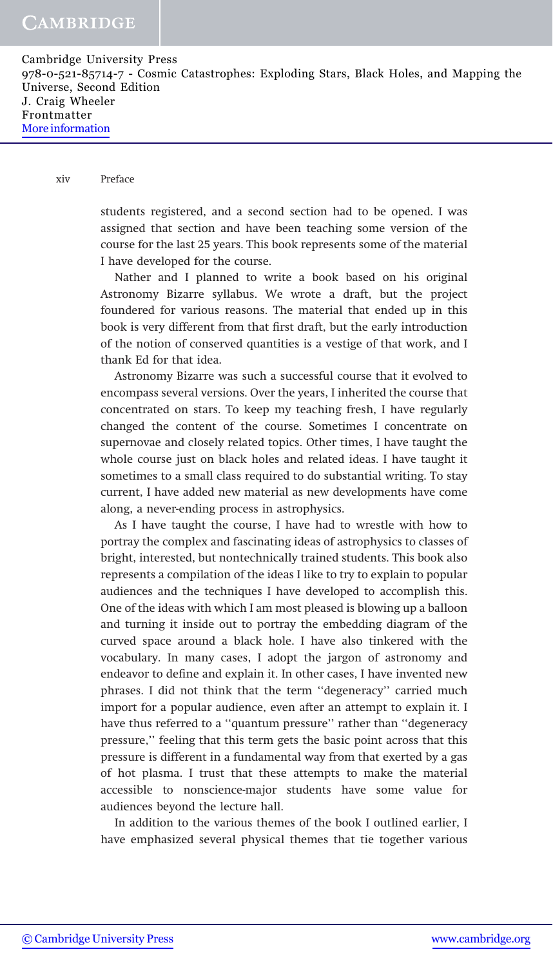#### xiv Preface

students registered, and a second section had to be opened.I was assigned that section and have been teaching some version of the course for the last 25 years.This book represents some of the material I have developed for the course.

Nather and I planned to write a book based on his original Astronomy Bizarre syllabus.We wrote a draft, but the project foundered for various reasons. The material that ended up in this book is very different from that first draft, but the early introduction of the notion of conserved quantities is a vestige of that work, and I thank Ed for that idea.

Astronomy Bizarre was such a successful course that it evolved to encompass several versions.Over the years, I inherited the course that concentrated on stars.To keep my teaching fresh, I have regularly changed the content of the course. Sometimes I concentrate on supernovae and closely related topics. Other times, I have taught the whole course just on black holes and related ideas.I have taught it sometimes to a small class required to do substantial writing. To stay current, I have added new material as new developments have come along, a never-ending process in astrophysics.

As I have taught the course, I have had to wrestle with how to portray the complex and fascinating ideas of astrophysics to classes of bright, interested, but nontechnically trained students.This book also represents a compilation of the ideas I like to try to explain to popular audiences and the techniques I have developed to accomplish this. One of the ideas with which I am most pleased is blowing up a balloon and turning it inside out to portray the embedding diagram of the curved space around a black hole.I have also tinkered with the vocabulary. In many cases, I adopt the jargon of astronomy and endeavor to define and explain it. In other cases, I have invented new phrases.I did not think that the term ''degeneracy'' carried much import for a popular audience, even after an attempt to explain it.I have thus referred to a ''quantum pressure'' rather than ''degeneracy pressure,'' feeling that this term gets the basic point across that this pressure is different in a fundamental way from that exerted by a gas of hot plasma.I trust that these attempts to make the material accessible to nonscience-major students have some value for audiences beyond the lecture hall.

In addition to the various themes of the book I outlined earlier, I have emphasized several physical themes that tie together various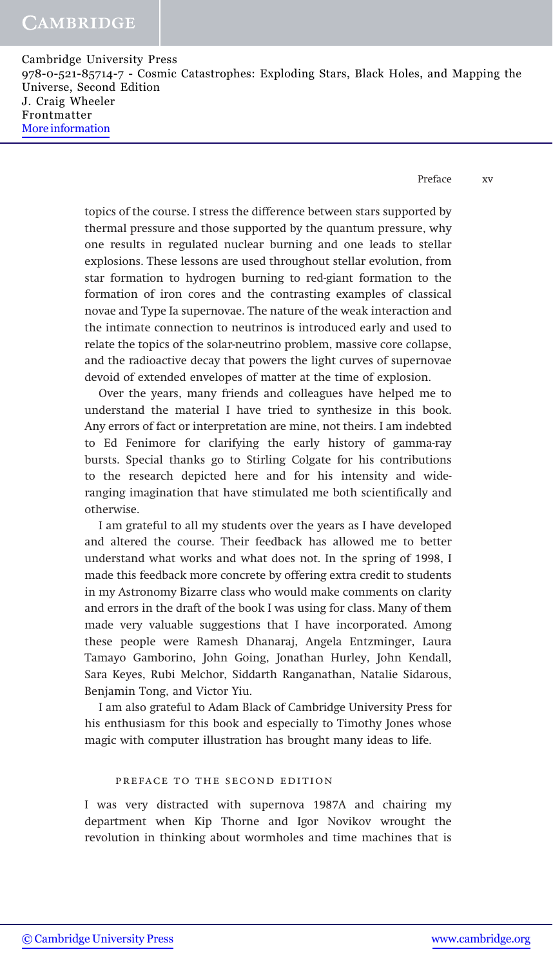Preface xv

topics of the course.I stress the difference between stars supported by thermal pressure and those supported by the quantum pressure, why one results in regulated nuclear burning and one leads to stellar explosions.These lessons are used throughout stellar evolution, from star formation to hydrogen burning to red-giant formation to the formation of iron cores and the contrasting examples of classical novae and Type Ia supernovae.The nature of the weak interaction and the intimate connection to neutrinos is introduced early and used to relate the topics of the solar-neutrino problem, massive core collapse, and the radioactive decay that powers the light curves of supernovae devoid of extended envelopes of matter at the time of explosion.

Over the years, many friends and colleagues have helped me to understand the material I have tried to synthesize in this book. Any errors of fact or interpretation are mine, not theirs. I am indebted to Ed Fenimore for clarifying the early history of gamma-ray bursts. Special thanks go to Stirling Colgate for his contributions to the research depicted here and for his intensity and wideranging imagination that have stimulated me both scientifically and otherwise.

I am grateful to all my students over the years as I have developed and altered the course. Their feedback has allowed me to better understand what works and what does not.In the spring of 1998, I made this feedback more concrete by offering extra credit to students in my Astronomy Bizarre class who would make comments on clarity and errors in the draft of the book I was using for class.Many of them made very valuable suggestions that I have incorporated. Among these people were Ramesh Dhanaraj, Angela Entzminger, Laura Tamayo Gamborino, John Going, Jonathan Hurley, John Kendall, Sara Keyes, Rubi Melchor, Siddarth Ranganathan, Natalie Sidarous, Benjamin Tong, and Victor Yiu.

I am also grateful to Adam Black of Cambridge University Press for his enthusiasm for this book and especially to Timothy Jones whose magic with computer illustration has brought many ideas to life.

#### preface to the second edition

I was very distracted with supernova 1987A and chairing my department when Kip Thorne and Igor Novikov wrought the revolution in thinking about wormholes and time machines that is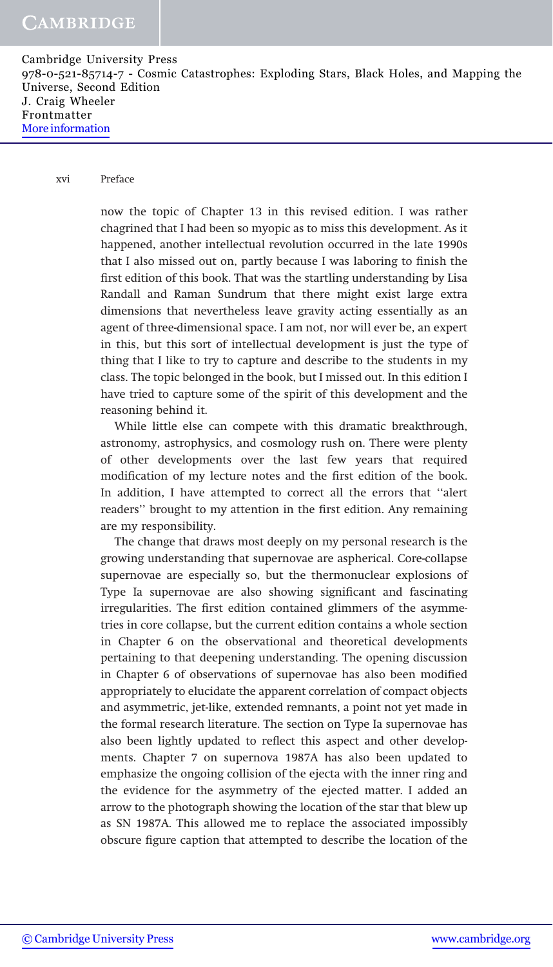#### xvi Preface

now the topic of Chapter 13 in this revised edition.I was rather chagrined that I had been so myopic as to miss this development.As it happened, another intellectual revolution occurred in the late 1990s that I also missed out on, partly because I was laboring to finish the first edition of this book.That was the startling understanding by Lisa Randall and Raman Sundrum that there might exist large extra dimensions that nevertheless leave gravity acting essentially as an agent of three-dimensional space.I am not, nor will ever be, an expert in this, but this sort of intellectual development is just the type of thing that I like to try to capture and describe to the students in my class.The topic belonged in the book, but I missed out.In this edition I have tried to capture some of the spirit of this development and the reasoning behind it.

While little else can compete with this dramatic breakthrough, astronomy, astrophysics, and cosmology rush on. There were plenty of other developments over the last few years that required modification of my lecture notes and the first edition of the book. In addition, I have attempted to correct all the errors that ''alert readers'' brought to my attention in the first edition.Any remaining are my responsibility.

The change that draws most deeply on my personal research is the growing understanding that supernovae are aspherical.Core-collapse supernovae are especially so, but the thermonuclear explosions of Type Ia supernovae are also showing significant and fascinating irregularities. The first edition contained glimmers of the asymmetries in core collapse, but the current edition contains a whole section in Chapter 6 on the observational and theoretical developments pertaining to that deepening understanding. The opening discussion in Chapter 6 of observations of supernovae has also been modified appropriately to elucidate the apparent correlation of compact objects and asymmetric, jet-like, extended remnants, a point not yet made in the formal research literature. The section on Type Ia supernovae has also been lightly updated to reflect this aspect and other developments.Chapter 7 on supernova 1987A has also been updated to emphasize the ongoing collision of the ejecta with the inner ring and the evidence for the asymmetry of the ejected matter.I added an arrow to the photograph showing the location of the star that blew up as SN 1987A.This allowed me to replace the associated impossibly obscure figure caption that attempted to describe the location of the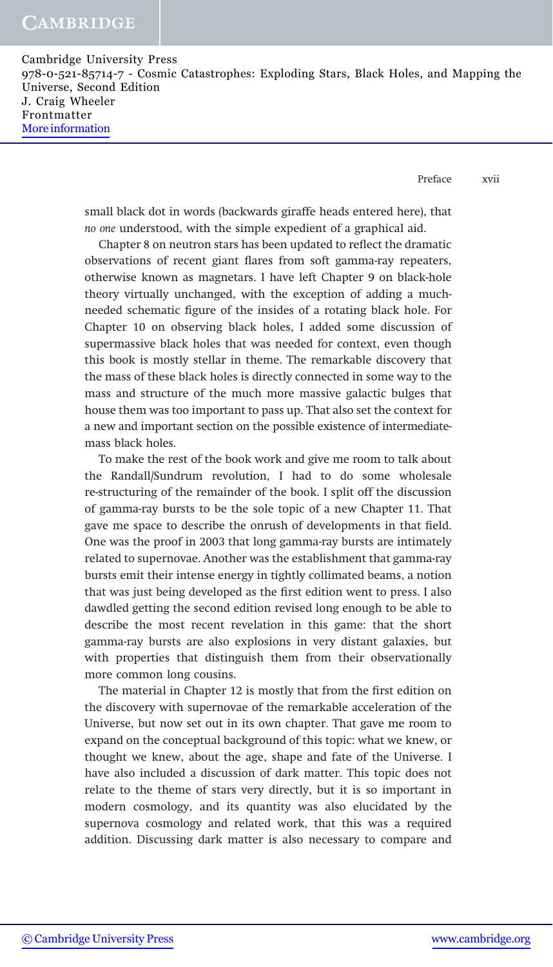Preface xvii

small black dot in words (backwards giraffe heads entered here), that no one understood, with the simple expedient of a graphical aid.

Chapter 8 on neutron stars has been updated to reflect the dramatic observations of recent giant flares from soft gamma-ray repeaters, otherwise known as magnetars.I have left Chapter 9 on black-hole theory virtually unchanged, with the exception of adding a muchneeded schematic figure of the insides of a rotating black hole. For Chapter 10 on observing black holes, I added some discussion of supermassive black holes that was needed for context, even though this book is mostly stellar in theme. The remarkable discovery that the mass of these black holes is directly connected in some way to the mass and structure of the much more massive galactic bulges that house them was too important to pass up.That also set the context for a new and important section on the possible existence of intermediatemass black holes.

To make the rest of the book work and give me room to talk about the Randall/Sundrum revolution, I had to do some wholesale re-structuring of the remainder of the book.I split off the discussion of gamma-ray bursts to be the sole topic of a new Chapter 11.That gave me space to describe the onrush of developments in that field. One was the proof in 2003 that long gamma-ray bursts are intimately related to supernovae. Another was the establishment that gamma-ray bursts emit their intense energy in tightly collimated beams, a notion that was just being developed as the first edition went to press. I also dawdled getting the second edition revised long enough to be able to describe the most recent revelation in this game: that the short gamma-ray bursts are also explosions in very distant galaxies, but with properties that distinguish them from their observationally more common long cousins.

The material in Chapter 12 is mostly that from the first edition on the discovery with supernovae of the remarkable acceleration of the Universe, but now set out in its own chapter.That gave me room to expand on the conceptual background of this topic: what we knew, or thought we knew, about the age, shape and fate of the Universe.I have also included a discussion of dark matter. This topic does not relate to the theme of stars very directly, but it is so important in modern cosmology, and its quantity was also elucidated by the supernova cosmology and related work, that this was a required addition. Discussing dark matter is also necessary to compare and